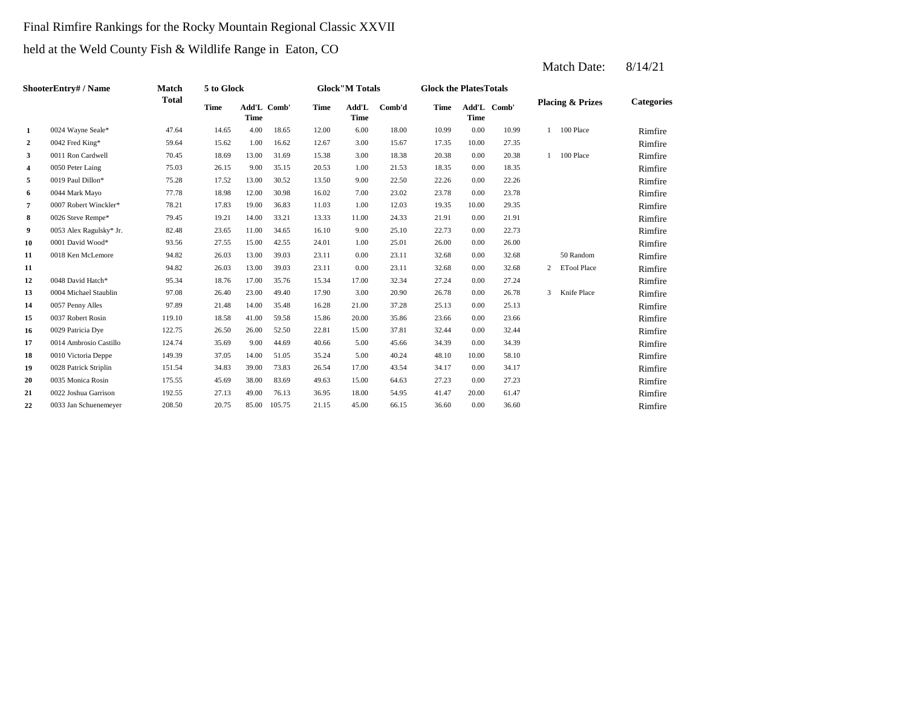## Final Rimfire Rankings for the Rocky Mountain Regional Classic XXVII

## held at the Weld County Fish & Wildlife Range in Eaton, CO

|                | ShooterEntry# / Name    | Match        | 5 to Glock  |                            |        |       | <b>Glock</b> "M Totals |        | <b>Glock the Plates Totals</b> |       |             |                |                             |                   |
|----------------|-------------------------|--------------|-------------|----------------------------|--------|-------|------------------------|--------|--------------------------------|-------|-------------|----------------|-----------------------------|-------------------|
|                |                         | <b>Total</b> | <b>Time</b> | Add'L Comb'<br><b>Time</b> |        | Time  | Add'L<br><b>Time</b>   | Comb'd | <b>Time</b>                    | Time  | Add'L Comb' |                | <b>Placing &amp; Prizes</b> | <b>Categories</b> |
| 1              | 0024 Wayne Seale*       | 47.64        | 14.65       | 4.00                       | 18.65  | 12.00 | 6.00                   | 18.00  | 10.99                          | 0.00  | 10.99       | $\mathbf{1}$   | 100 Place                   | Rimfire           |
| $\overline{a}$ | 0042 Fred King*         | 59.64        | 15.62       | 1.00                       | 16.62  | 12.67 | 3.00                   | 15.67  | 17.35                          | 10.00 | 27.35       |                |                             | Rimfire           |
| 3              | 0011 Ron Cardwell       | 70.45        | 18.69       | 13.00                      | 31.69  | 15.38 | 3.00                   | 18.38  | 20.38                          | 0.00  | 20.38       |                | 1 100 Place                 | Rimfire           |
| 4              | 0050 Peter Laing        | 75.03        | 26.15       | 9.00                       | 35.15  | 20.53 | 1.00                   | 21.53  | 18.35                          | 0.00  | 18.35       |                |                             | Rimfire           |
| 5              | 0019 Paul Dillon*       | 75.28        | 17.52       | 13.00                      | 30.52  | 13.50 | 9.00                   | 22.50  | 22.26                          | 0.00  | 22.26       |                |                             | Rimfire           |
| 6              | 0044 Mark Mayo          | 77.78        | 18.98       | 12.00                      | 30.98  | 16.02 | 7.00                   | 23.02  | 23.78                          | 0.00  | 23.78       |                |                             | Rimfire           |
| $\overline{7}$ | 0007 Robert Winckler*   | 78.21        | 17.83       | 19.00                      | 36.83  | 11.03 | 1.00                   | 12.03  | 19.35                          | 10.00 | 29.35       |                |                             | Rimfire           |
| 8              | 0026 Steve Rempe*       | 79.45        | 19.21       | 14.00                      | 33.21  | 13.33 | 11.00                  | 24.33  | 21.91                          | 0.00  | 21.91       |                |                             | Rimfire           |
| 9              | 0053 Alex Ragulsky* Jr. | 82.48        | 23.65       | 11.00                      | 34.65  | 16.10 | 9.00                   | 25.10  | 22.73                          | 0.00  | 22.73       |                |                             | Rimfire           |
| 10             | 0001 David Wood*        | 93.56        | 27.55       | 15.00                      | 42.55  | 24.01 | 1.00                   | 25.01  | 26.00                          | 0.00  | 26.00       |                |                             | Rimfire           |
| 11             | 0018 Ken McLemore       | 94.82        | 26.03       | 13.00                      | 39.03  | 23.11 | 0.00                   | 23.11  | 32.68                          | 0.00  | 32.68       |                | 50 Random                   | Rimfire           |
| 11             |                         | 94.82        | 26.03       | 13.00                      | 39.03  | 23.11 | 0.00                   | 23.11  | 32.68                          | 0.00  | 32.68       | $\overline{2}$ | <b>ETool Place</b>          | Rimfire           |
| 12             | 0048 David Hatch*       | 95.34        | 18.76       | 17.00                      | 35.76  | 15.34 | 17.00                  | 32.34  | 27.24                          | 0.00  | 27.24       |                |                             | Rimfire           |
| 13             | 0004 Michael Staublin   | 97.08        | 26.40       | 23.00                      | 49.40  | 17.90 | 3.00                   | 20.90  | 26.78                          | 0.00  | 26.78       | $\overline{3}$ | Knife Place                 | Rimfire           |
| 14             | 0057 Penny Alles        | 97.89        | 21.48       | 14.00                      | 35.48  | 16.28 | 21.00                  | 37.28  | 25.13                          | 0.00  | 25.13       |                |                             | Rimfire           |
| 15             | 0037 Robert Rosin       | 119.10       | 18.58       | 41.00                      | 59.58  | 15.86 | 20.00                  | 35.86  | 23.66                          | 0.00  | 23.66       |                |                             | Rimfire           |
| 16             | 0029 Patricia Dye       | 122.75       | 26.50       | 26.00                      | 52.50  | 22.81 | 15.00                  | 37.81  | 32.44                          | 0.00  | 32.44       |                |                             | Rimfire           |
| 17             | 0014 Ambrosio Castillo  | 124.74       | 35.69       | 9.00                       | 44.69  | 40.66 | 5.00                   | 45.66  | 34.39                          | 0.00  | 34.39       |                |                             | Rimfire           |
| 18             | 0010 Victoria Deppe     | 149.39       | 37.05       | 14.00                      | 51.05  | 35.24 | 5.00                   | 40.24  | 48.10                          | 10.00 | 58.10       |                |                             | Rimfire           |
| 19             | 0028 Patrick Striplin   | 151.54       | 34.83       | 39.00                      | 73.83  | 26.54 | 17.00                  | 43.54  | 34.17                          | 0.00  | 34.17       |                |                             | Rimfire           |
| 20             | 0035 Monica Rosin       | 175.55       | 45.69       | 38.00                      | 83.69  | 49.63 | 15.00                  | 64.63  | 27.23                          | 0.00  | 27.23       |                |                             | Rimfire           |
| 21             | 0022 Joshua Garrison    | 192.55       | 27.13       | 49.00                      | 76.13  | 36.95 | 18.00                  | 54.95  | 41.47                          | 20.00 | 61.47       |                |                             | Rimfire           |
| 22             | 0033 Jan Schuenemeyer   | 208.50       | 20.75       | 85.00                      | 105.75 | 21.15 | 45.00                  | 66.15  | 36.60                          | 0.00  | 36.60       |                |                             | Rimfire           |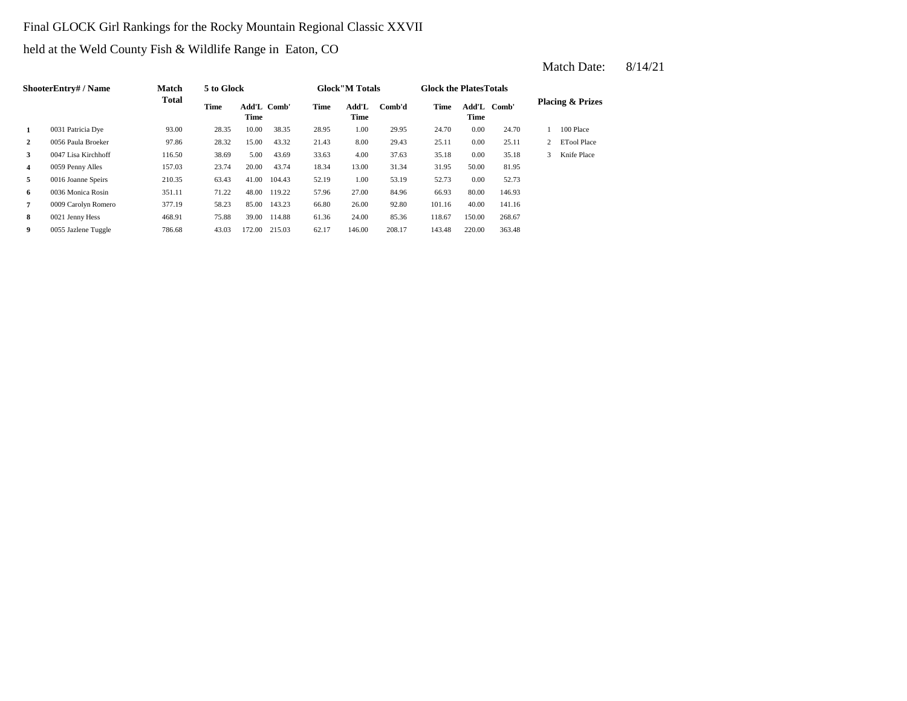## Final GLOCK Girl Rankings for the Rocky Mountain Regional Classic XXVII

held at the Weld County Fish & Wildlife Range in Eaton, CO

|                | ShooterEntry# / Name | <b>Match</b> | 5 to Glock |                            |        |       | <b>Glock</b> "M Totals |        | <b>Glock the PlatesTotals</b> |                     |        |   |                             |
|----------------|----------------------|--------------|------------|----------------------------|--------|-------|------------------------|--------|-------------------------------|---------------------|--------|---|-----------------------------|
|                |                      | <b>Total</b> | Time       | Add'L Comb'<br><b>Time</b> |        | Time  | Add'L<br>Time          | Comb'd | Time                          | Add'L Comb'<br>Time |        |   | <b>Placing &amp; Prizes</b> |
| 1              | 0031 Patricia Dye    | 93.00        | 28.35      | 10.00                      | 38.35  | 28.95 | 1.00                   | 29.95  | 24.70                         | 0.00                | 24.70  |   | 100 Place                   |
| $\overline{2}$ | 0056 Paula Broeker   | 97.86        | 28.32      | 15.00                      | 43.32  | 21.43 | 8.00                   | 29.43  | 25.11                         | 0.00                | 25.11  |   | <b>ETool Place</b>          |
| 3              | 0047 Lisa Kirchhoff  | 116.50       | 38.69      | 5.00                       | 43.69  | 33.63 | 4.00                   | 37.63  | 35.18                         | 0.00                | 35.18  | 3 | Knife Place                 |
| $\overline{4}$ | 0059 Penny Alles     | 157.03       | 23.74      | 20.00                      | 43.74  | 18.34 | 13.00                  | 31.34  | 31.95                         | 50.00               | 81.95  |   |                             |
| 5              | 0016 Joanne Speirs   | 210.35       | 63.43      | 41.00                      | 104.43 | 52.19 | 1.00                   | 53.19  | 52.73                         | 0.00                | 52.73  |   |                             |
| 6              | 0036 Monica Rosin    | 351.11       | 71.22      | 48.00                      | 119.22 | 57.96 | 27.00                  | 84.96  | 66.93                         | 80.00               | 146.93 |   |                             |
| 7              | 0009 Carolyn Romero  | 377.19       | 58.23      | 85.00                      | 143.23 | 66.80 | 26.00                  | 92.80  | 101.16                        | 40.00               | 141.16 |   |                             |
| 8              | 0021 Jenny Hess      | 468.91       | 75.88      | 39.00                      | 114.88 | 61.36 | 24.00                  | 85.36  | 118.67                        | 150.00              | 268.67 |   |                             |
| 9              | 0055 Jazlene Tuggle  | 786.68       | 43.03      | 172.00                     | 215.03 | 62.17 | 146.00                 | 208.17 | 143.48                        | 220.00              | 363.48 |   |                             |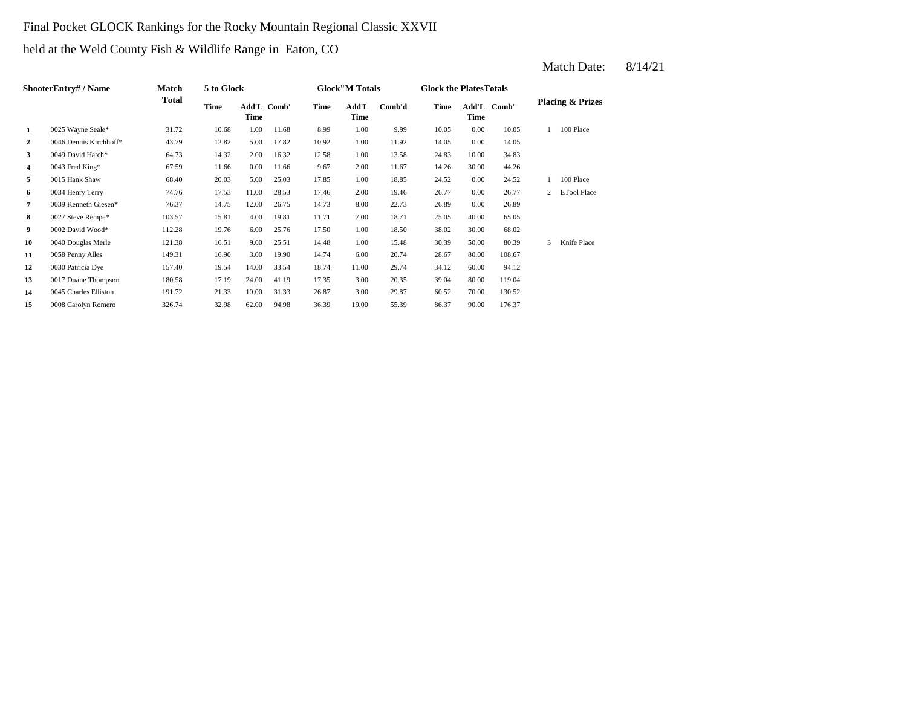## Final Pocket GLOCK Rankings for the Rocky Mountain Regional Classic XXVII

held at the Weld County Fish & Wildlife Range in Eaton, CO

|    | ShooterEntry# / Name   | Match        | 5 to Glock  |       |             |       | <b>Glock</b> "M Totals |        | <b>Glock the Plates Totals</b> |       |             |                |                             |
|----|------------------------|--------------|-------------|-------|-------------|-------|------------------------|--------|--------------------------------|-------|-------------|----------------|-----------------------------|
|    |                        | <b>Total</b> | <b>Time</b> | Time  | Add'L Comb' | Time  | Add'L<br><b>Time</b>   | Comb'd | Time                           | Time  | Add'L Comb' |                | <b>Placing &amp; Prizes</b> |
| 1  | 0025 Wayne Seale*      | 31.72        | 10.68       | 1.00  | 11.68       | 8.99  | 1.00                   | 9.99   | 10.05                          | 0.00  | 10.05       |                | 100 Place                   |
| 2  | 0046 Dennis Kirchhoff* | 43.79        | 12.82       | 5.00  | 17.82       | 10.92 | 1.00                   | 11.92  | 14.05                          | 0.00  | 14.05       |                |                             |
| 3  | 0049 David Hatch*      | 64.73        | 14.32       | 2.00  | 16.32       | 12.58 | 1.00                   | 13.58  | 24.83                          | 10.00 | 34.83       |                |                             |
| 4  | 0043 Fred King*        | 67.59        | 11.66       | 0.00  | 11.66       | 9.67  | 2.00                   | 11.67  | 14.26                          | 30.00 | 44.26       |                |                             |
| 5  | 0015 Hank Shaw         | 68.40        | 20.03       | 5.00  | 25.03       | 17.85 | 1.00                   | 18.85  | 24.52                          | 0.00  | 24.52       |                | 100 Place                   |
| 6  | 0034 Henry Terry       | 74.76        | 17.53       | 11.00 | 28.53       | 17.46 | 2.00                   | 19.46  | 26.77                          | 0.00  | 26.77       | $\mathfrak{2}$ | <b>ETool Place</b>          |
| 7  | 0039 Kenneth Giesen*   | 76.37        | 14.75       | 12.00 | 26.75       | 14.73 | 8.00                   | 22.73  | 26.89                          | 0.00  | 26.89       |                |                             |
| 8  | 0027 Steve Rempe*      | 103.57       | 15.81       | 4.00  | 19.81       | 11.71 | 7.00                   | 18.71  | 25.05                          | 40.00 | 65.05       |                |                             |
| 9  | 0002 David Wood*       | 112.28       | 19.76       | 6.00  | 25.76       | 17.50 | 1.00                   | 18.50  | 38.02                          | 30.00 | 68.02       |                |                             |
| 10 | 0040 Douglas Merle     | 121.38       | 16.51       | 9.00  | 25.51       | 14.48 | 1.00                   | 15.48  | 30.39                          | 50.00 | 80.39       | $\mathbf{3}$   | Knife Place                 |
| 11 | 0058 Penny Alles       | 149.31       | 16.90       | 3.00  | 19.90       | 14.74 | 6.00                   | 20.74  | 28.67                          | 80.00 | 108.67      |                |                             |
| 12 | 0030 Patricia Dye      | 157.40       | 19.54       | 14.00 | 33.54       | 18.74 | 11.00                  | 29.74  | 34.12                          | 60.00 | 94.12       |                |                             |
| 13 | 0017 Duane Thompson    | 180.58       | 17.19       | 24.00 | 41.19       | 17.35 | 3.00                   | 20.35  | 39.04                          | 80.00 | 119.04      |                |                             |
| 14 | 0045 Charles Elliston  | 191.72       | 21.33       | 10.00 | 31.33       | 26.87 | 3.00                   | 29.87  | 60.52                          | 70.00 | 130.52      |                |                             |
| 15 | 0008 Carolyn Romero    | 326.74       | 32.98       | 62.00 | 94.98       | 36.39 | 19.00                  | 55.39  | 86.37                          | 90.00 | 176.37      |                |                             |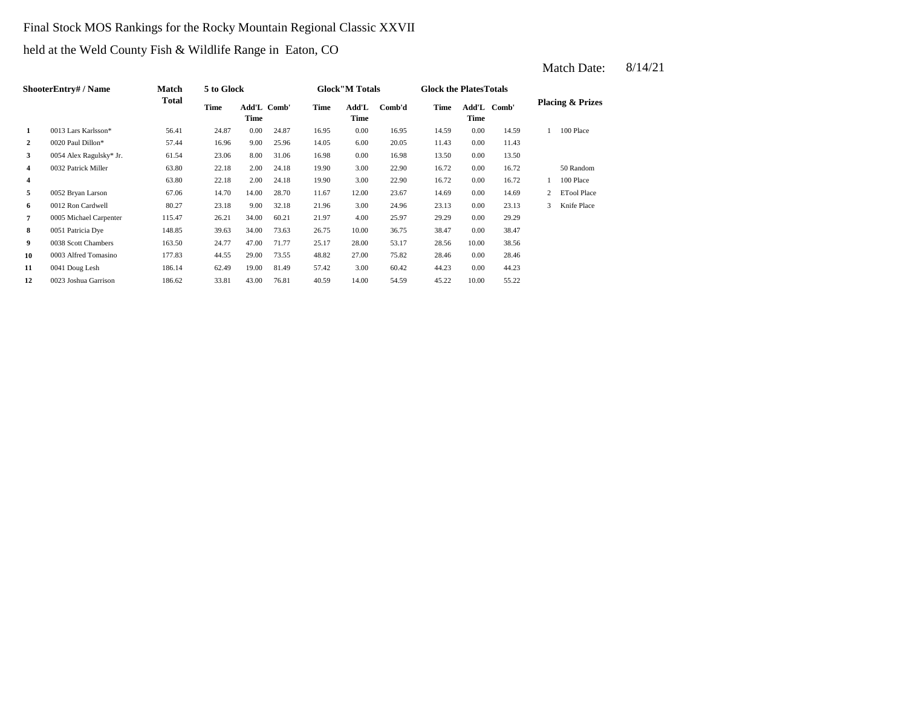#### Final Stock MOS Rankings for the Rocky Mountain Regional Classic XXVII

held at the Weld County Fish & Wildlife Range in Eaton, CO

|                | ShooterEntry# / Name    | Match  | 5 to Glock |                     |       |       | <b>Glock</b> "M Totals |        | <b>Glock the Plates Totals</b> |               |       |   |                             |
|----------------|-------------------------|--------|------------|---------------------|-------|-------|------------------------|--------|--------------------------------|---------------|-------|---|-----------------------------|
|                |                         | Total  | Time       | Add'L Comb'<br>Time |       | Time  | Add'L<br>Time          | Comb'd | Time                           | Add'L<br>Time | Comb' |   | <b>Placing &amp; Prizes</b> |
| 1              | 0013 Lars Karlsson*     | 56.41  | 24.87      | 0.00                | 24.87 | 16.95 | 0.00                   | 16.95  | 14.59                          | 0.00          | 14.59 |   | 100 Place                   |
| $\overline{2}$ | 0020 Paul Dillon*       | 57.44  | 16.96      | 9.00                | 25.96 | 14.05 | 6.00                   | 20.05  | 11.43                          | 0.00          | 11.43 |   |                             |
| 3              | 0054 Alex Ragulsky* Jr. | 61.54  | 23.06      | 8.00                | 31.06 | 16.98 | 0.00                   | 16.98  | 13.50                          | 0.00          | 13.50 |   |                             |
| 4              | 0032 Patrick Miller     | 63.80  | 22.18      | 2.00                | 24.18 | 19.90 | 3.00                   | 22.90  | 16.72                          | 0.00          | 16.72 |   | 50 Random                   |
| 4              |                         | 63.80  | 22.18      | 2.00                | 24.18 | 19.90 | 3.00                   | 22.90  | 16.72                          | 0.00          | 16.72 | 1 | 100 Place                   |
| 5              | 0052 Bryan Larson       | 67.06  | 14.70      | 14.00               | 28.70 | 11.67 | 12.00                  | 23.67  | 14.69                          | 0.00          | 14.69 | 2 | <b>ETool Place</b>          |
| 6              | 0012 Ron Cardwell       | 80.27  | 23.18      | 9.00                | 32.18 | 21.96 | 3.00                   | 24.96  | 23.13                          | 0.00          | 23.13 | 3 | Knife Place                 |
| 7              | 0005 Michael Carpenter  | 115.47 | 26.21      | 34.00               | 60.21 | 21.97 | 4.00                   | 25.97  | 29.29                          | 0.00          | 29.29 |   |                             |
| 8              | 0051 Patricia Dye       | 148.85 | 39.63      | 34.00               | 73.63 | 26.75 | 10.00                  | 36.75  | 38.47                          | 0.00          | 38.47 |   |                             |
| 9              | 0038 Scott Chambers     | 163.50 | 24.77      | 47.00               | 71.77 | 25.17 | 28.00                  | 53.17  | 28.56                          | 10.00         | 38.56 |   |                             |
| 10             | 0003 Alfred Tomasino    | 177.83 | 44.55      | 29.00               | 73.55 | 48.82 | 27.00                  | 75.82  | 28.46                          | 0.00          | 28.46 |   |                             |
| 11             | 0041 Doug Lesh          | 186.14 | 62.49      | 19.00               | 81.49 | 57.42 | 3.00                   | 60.42  | 44.23                          | 0.00          | 44.23 |   |                             |
| 12             | 0023 Joshua Garrison    | 186.62 | 33.81      | 43.00               | 76.81 | 40.59 | 14.00                  | 54.59  | 45.22                          | 10.00         | 55.22 |   |                             |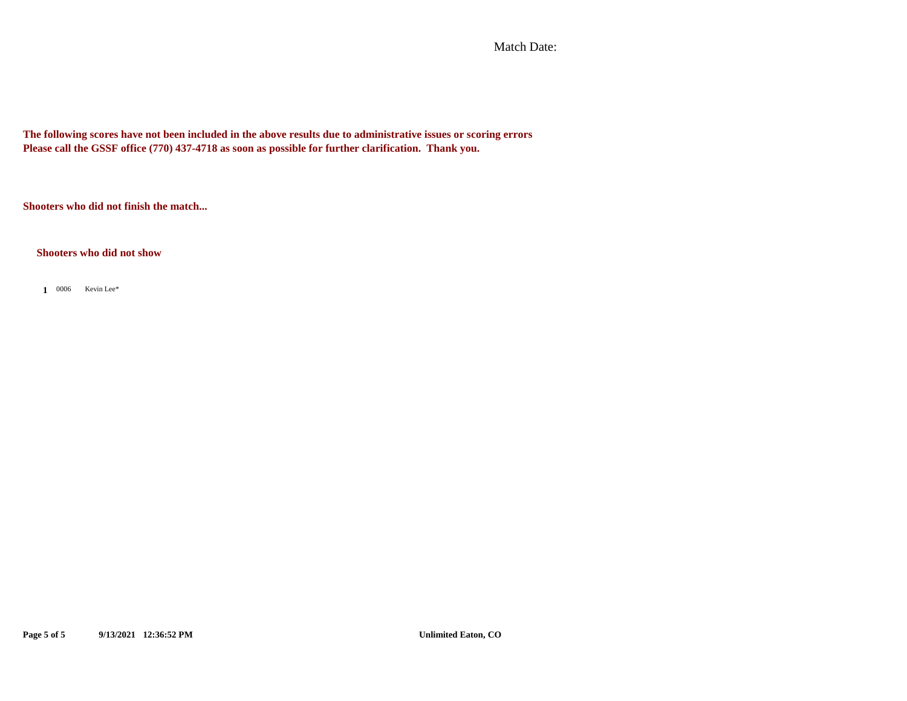Match Date:

**The following scores have not been included in the above results due to administrative issues or scoring errors Please call the GSSF office (770) 437-4718 as soon as possible for further clarification. Thank you.**

**Shooters who did not finish the match...**

**Shooters who did not show**

**1** 0006 Kevin Lee\*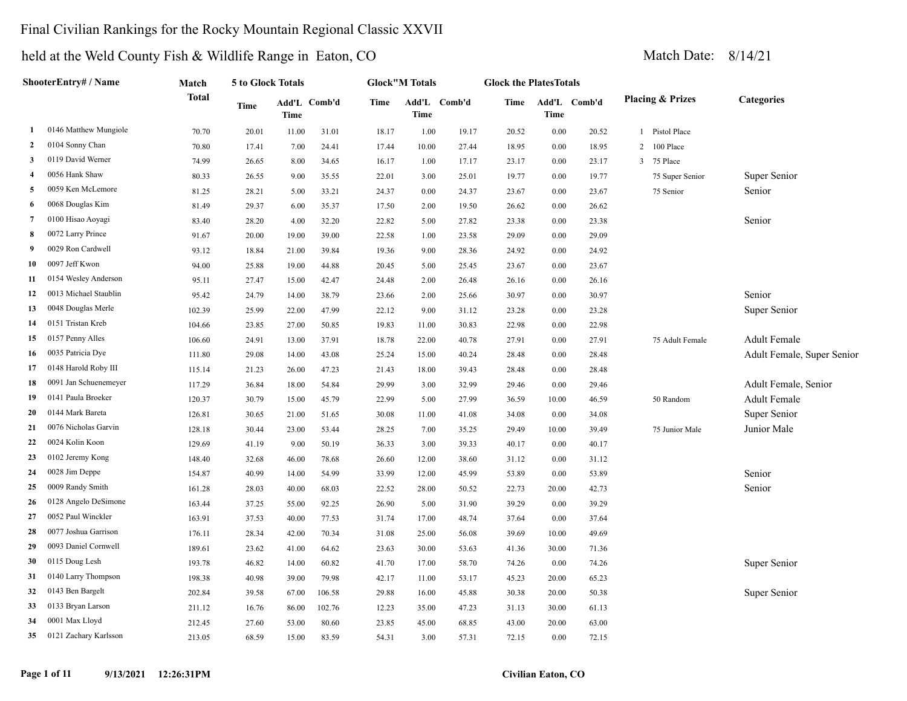### Final Civilian Rankings for the Rocky Mountain Regional Classic XXVII

**Add'L Comb'd Time**

**5 to Glock Totals**

**Match Total**

**ShooterEntry# / Name**

#### held at the Weld County Fish & Wildlife Range in Eaton, CO Match Date: 8/14/21 **Add'L Comb'd Time Placing & Prizes Categories Time Time Glock the PlatesTotals Add'L Comb'd Time Time Glock"M Totals**

| 1               | 0146 Matthew Mungiole | 70.70  | 20.01 | 11.00 | 31.01  | 18.17 | 1.00  | 19.17 | 20.52 | 0.00  | 20.52 |                | Pistol Place    |                            |
|-----------------|-----------------------|--------|-------|-------|--------|-------|-------|-------|-------|-------|-------|----------------|-----------------|----------------------------|
| $\mathbf{2}$    | 0104 Sonny Chan       | 70.80  | 17.41 | 7.00  | 24.41  | 17.44 | 10.00 | 27.44 | 18.95 | 0.00  | 18.95 | $\overline{2}$ | 100 Place       |                            |
| 3               | 0119 David Werner     | 74.99  | 26.65 | 8.00  | 34.65  | 16.17 | 1.00  | 17.17 | 23.17 | 0.00  | 23.17 |                | 3 75 Place      |                            |
| $\overline{4}$  | 0056 Hank Shaw        | 80.33  | 26.55 | 9.00  | 35.55  | 22.01 | 3.00  | 25.01 | 19.77 | 0.00  | 19.77 |                | 75 Super Senior | Super Senior               |
| 5               | 0059 Ken McLemore     | 81.25  | 28.21 | 5.00  | 33.21  | 24.37 | 0.00  | 24.37 | 23.67 | 0.00  | 23.67 |                | 75 Senior       | Senior                     |
| 6               | 0068 Douglas Kim      | 81.49  | 29.37 | 6.00  | 35.37  | 17.50 | 2.00  | 19.50 | 26.62 | 0.00  | 26.62 |                |                 |                            |
| $7\phantom{.0}$ | 0100 Hisao Aoyagi     | 83.40  | 28.20 | 4.00  | 32.20  | 22.82 | 5.00  | 27.82 | 23.38 | 0.00  | 23.38 |                |                 | Senior                     |
| 8               | 0072 Larry Prince     | 91.67  | 20.00 | 19.00 | 39.00  | 22.58 | 1.00  | 23.58 | 29.09 | 0.00  | 29.09 |                |                 |                            |
| 9               | 0029 Ron Cardwell     | 93.12  | 18.84 | 21.00 | 39.84  | 19.36 | 9.00  | 28.36 | 24.92 | 0.00  | 24.92 |                |                 |                            |
| 10              | 0097 Jeff Kwon        | 94.00  | 25.88 | 19.00 | 44.88  | 20.45 | 5.00  | 25.45 | 23.67 | 0.00  | 23.67 |                |                 |                            |
| 11              | 0154 Wesley Anderson  | 95.11  | 27.47 | 15.00 | 42.47  | 24.48 | 2.00  | 26.48 | 26.16 | 0.00  | 26.16 |                |                 |                            |
| 12              | 0013 Michael Staublin | 95.42  | 24.79 | 14.00 | 38.79  | 23.66 | 2.00  | 25.66 | 30.97 | 0.00  | 30.97 |                |                 | Senior                     |
| 13              | 0048 Douglas Merle    | 102.39 | 25.99 | 22.00 | 47.99  | 22.12 | 9.00  | 31.12 | 23.28 | 0.00  | 23.28 |                |                 | Super Senior               |
| 14              | 0151 Tristan Kreb     | 104.66 | 23.85 | 27.00 | 50.85  | 19.83 | 11.00 | 30.83 | 22.98 | 0.00  | 22.98 |                |                 |                            |
| 15              | 0157 Penny Alles      | 106.60 | 24.91 | 13.00 | 37.91  | 18.78 | 22.00 | 40.78 | 27.91 | 0.00  | 27.91 |                | 75 Adult Female | Adult Female               |
| 16              | 0035 Patricia Dye     | 111.80 | 29.08 | 14.00 | 43.08  | 25.24 | 15.00 | 40.24 | 28.48 | 0.00  | 28.48 |                |                 | Adult Female, Super Senior |
| 17              | 0148 Harold Roby III  | 115.14 | 21.23 | 26.00 | 47.23  | 21.43 | 18.00 | 39.43 | 28.48 | 0.00  | 28.48 |                |                 |                            |
| 18              | 0091 Jan Schuenemeyer | 117.29 | 36.84 | 18.00 | 54.84  | 29.99 | 3.00  | 32.99 | 29.46 | 0.00  | 29.46 |                |                 | Adult Female, Senior       |
| 19              | 0141 Paula Broeker    | 120.37 | 30.79 | 15.00 | 45.79  | 22.99 | 5.00  | 27.99 | 36.59 | 10.00 | 46.59 |                | 50 Random       | <b>Adult Female</b>        |
| 20              | 0144 Mark Bareta      | 126.81 | 30.65 | 21.00 | 51.65  | 30.08 | 11.00 | 41.08 | 34.08 | 0.00  | 34.08 |                |                 | Super Senior               |
| 21              | 0076 Nicholas Garvin  | 128.18 | 30.44 | 23.00 | 53.44  | 28.25 | 7.00  | 35.25 | 29.49 | 10.00 | 39.49 |                | 75 Junior Male  | Junior Male                |
| 22              | 0024 Kolin Koon       | 129.69 | 41.19 | 9.00  | 50.19  | 36.33 | 3.00  | 39.33 | 40.17 | 0.00  | 40.17 |                |                 |                            |
| 23              | 0102 Jeremy Kong      | 148.40 | 32.68 | 46.00 | 78.68  | 26.60 | 12.00 | 38.60 | 31.12 | 0.00  | 31.12 |                |                 |                            |
| 24              | 0028 Jim Deppe        | 154.87 | 40.99 | 14.00 | 54.99  | 33.99 | 12.00 | 45.99 | 53.89 | 0.00  | 53.89 |                |                 | Senior                     |
| 25              | 0009 Randy Smith      | 161.28 | 28.03 | 40.00 | 68.03  | 22.52 | 28.00 | 50.52 | 22.73 | 20.00 | 42.73 |                |                 | Senior                     |
| 26              | 0128 Angelo DeSimone  | 163.44 | 37.25 | 55.00 | 92.25  | 26.90 | 5.00  | 31.90 | 39.29 | 0.00  | 39.29 |                |                 |                            |
| 27              | 0052 Paul Winckler    | 163.91 | 37.53 | 40.00 | 77.53  | 31.74 | 17.00 | 48.74 | 37.64 | 0.00  | 37.64 |                |                 |                            |
| 28              | 0077 Joshua Garrison  | 176.11 | 28.34 | 42.00 | 70.34  | 31.08 | 25.00 | 56.08 | 39.69 | 10.00 | 49.69 |                |                 |                            |
| 29              | 0093 Daniel Cornwell  | 189.61 | 23.62 | 41.00 | 64.62  | 23.63 | 30.00 | 53.63 | 41.36 | 30.00 | 71.36 |                |                 |                            |
| 30              | 0115 Doug Lesh        | 193.78 | 46.82 | 14.00 | 60.82  | 41.70 | 17.00 | 58.70 | 74.26 | 0.00  | 74.26 |                |                 | Super Senior               |
| 31              | 0140 Larry Thompson   | 198.38 | 40.98 | 39.00 | 79.98  | 42.17 | 11.00 | 53.17 | 45.23 | 20.00 | 65.23 |                |                 |                            |
| 32              | 0143 Ben Bargelt      | 202.84 | 39.58 | 67.00 | 106.58 | 29.88 | 16.00 | 45.88 | 30.38 | 20.00 | 50.38 |                |                 | Super Senior               |
| 33              | 0133 Bryan Larson     | 211.12 | 16.76 | 86.00 | 102.76 | 12.23 | 35.00 | 47.23 | 31.13 | 30.00 | 61.13 |                |                 |                            |
| 34              | 0001 Max Lloyd        | 212.45 | 27.60 | 53.00 | 80.60  | 23.85 | 45.00 | 68.85 | 43.00 | 20.00 | 63.00 |                |                 |                            |
| 35              | 0121 Zachary Karlsson | 213.05 | 68.59 | 15.00 | 83.59  | 54.31 | 3.00  | 57.31 | 72.15 | 0.00  | 72.15 |                |                 |                            |
|                 |                       |        |       |       |        |       |       |       |       |       |       |                |                 |                            |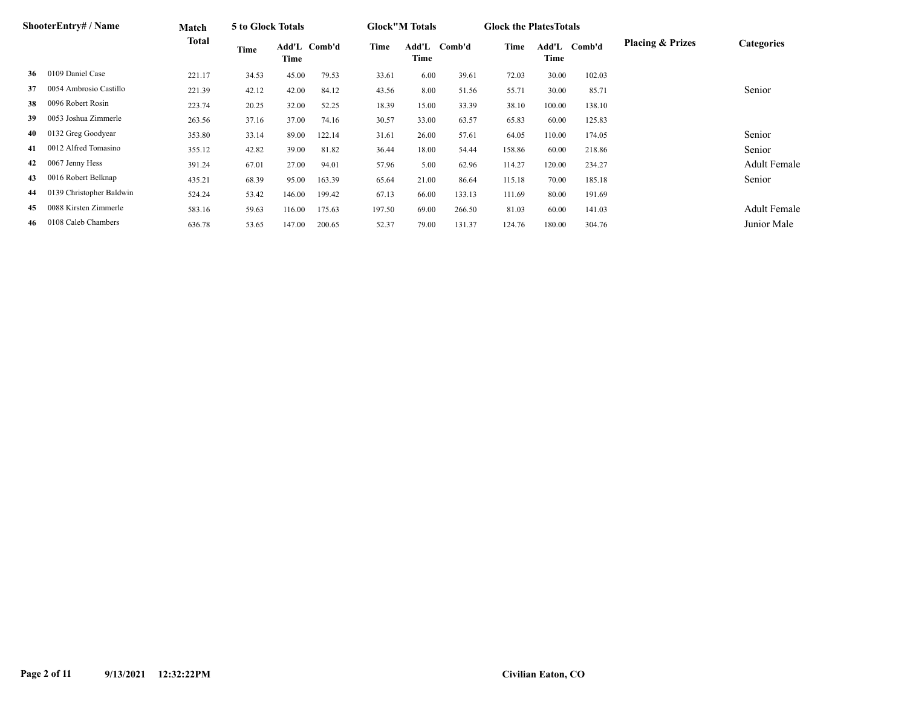|    | <b>ShooterEntry# / Name</b> | Match  | 5 to Glock Totals |        |              |        | <b>Glock</b> "M Totals |        | <b>Glock the Plates Totals</b> |               |        |                             |                     |
|----|-----------------------------|--------|-------------------|--------|--------------|--------|------------------------|--------|--------------------------------|---------------|--------|-----------------------------|---------------------|
|    |                             | Total  | Time              | Time   | Add'L Comb'd | Time   | Add'L<br>Time          | Comb'd | Time                           | Add'L<br>Time | Comb'd | <b>Placing &amp; Prizes</b> | <b>Categories</b>   |
| 36 | 0109 Daniel Case            | 221.17 | 34.53             | 45.00  | 79.53        | 33.61  | 6.00                   | 39.61  | 72.03                          | 30.00         | 102.03 |                             |                     |
| 37 | 0054 Ambrosio Castillo      | 221.39 | 42.12             | 42.00  | 84.12        | 43.56  | 8.00                   | 51.56  | 55.71                          | 30.00         | 85.71  |                             | Senior              |
| 38 | 0096 Robert Rosin           | 223.74 | 20.25             | 32.00  | 52.25        | 18.39  | 15.00                  | 33.39  | 38.10                          | 100.00        | 138.10 |                             |                     |
| 39 | 0053 Joshua Zimmerle        | 263.56 | 37.16             | 37.00  | 74.16        | 30.57  | 33.00                  | 63.57  | 65.83                          | 60.00         | 125.83 |                             |                     |
| 40 | 0132 Greg Goodyear          | 353.80 | 33.14             | 89.00  | 122.14       | 31.61  | 26.00                  | 57.61  | 64.05                          | 110.00        | 174.05 |                             | Senior              |
| 41 | 0012 Alfred Tomasino        | 355.12 | 42.82             | 39.00  | 81.82        | 36.44  | 18.00                  | 54.44  | 158.86                         | 60.00         | 218.86 |                             | Senior              |
| 42 | 0067 Jenny Hess             | 391.24 | 67.01             | 27.00  | 94.01        | 57.96  | 5.00                   | 62.96  | 114.27                         | 120.00        | 234.27 |                             | <b>Adult Female</b> |
| 43 | 0016 Robert Belknap         | 435.21 | 68.39             | 95.00  | 163.39       | 65.64  | 21.00                  | 86.64  | 115.18                         | 70.00         | 185.18 |                             | Senior              |
| 44 | 0139 Christopher Baldwin    | 524.24 | 53.42             | 146.00 | 199.42       | 67.13  | 66.00                  | 133.13 | 111.69                         | 80.00         | 191.69 |                             |                     |
| 45 | 0088 Kirsten Zimmerle       | 583.16 | 59.63             | 116.00 | 175.63       | 197.50 | 69.00                  | 266.50 | 81.03                          | 60.00         | 141.03 |                             | <b>Adult Female</b> |
| 46 | 0108 Caleb Chambers         | 636.78 | 53.65             | 147.00 | 200.65       | 52.37  | 79.00                  | 131.37 | 124.76                         | 180.00        | 304.76 |                             | Junior Male         |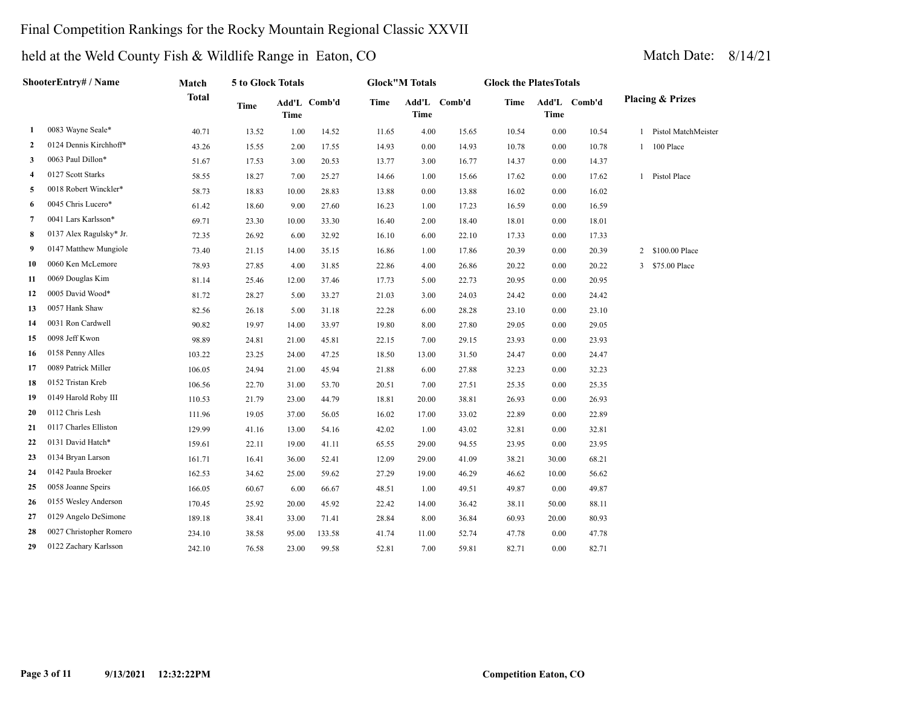## Final Competition Rankings for the Rocky Mountain Regional Classic XXVII

|    | ShooterEntry# / Name    | Match        | 5 to Glock Totals |             |              |             | <b>Glock</b> "M Totals |              | <b>Glock the PlatesTotals</b> |             |              |              |                             |
|----|-------------------------|--------------|-------------------|-------------|--------------|-------------|------------------------|--------------|-------------------------------|-------------|--------------|--------------|-----------------------------|
|    |                         | <b>Total</b> | <b>Time</b>       | <b>Time</b> | Add'L Comb'd | <b>Time</b> | <b>Time</b>            | Add'L Comb'd | Time                          | <b>Time</b> | Add'L Comb'd |              | <b>Placing &amp; Prizes</b> |
| 1  | 0083 Wayne Seale*       | 40.71        | 13.52             | 1.00        | 14.52        | 11.65       | 4.00                   | 15.65        | 10.54                         | 0.00        | 10.54        | 1            | Pistol MatchMeister         |
| 2  | 0124 Dennis Kirchhoff*  | 43.26        | 15.55             | 2.00        | 17.55        | 14.93       | 0.00                   | 14.93        | 10.78                         | 0.00        | 10.78        | $\mathbf{1}$ | 100 Place                   |
| 3  | 0063 Paul Dillon*       | 51.67        | 17.53             | 3.00        | 20.53        | 13.77       | 3.00                   | 16.77        | 14.37                         | 0.00        | 14.37        |              |                             |
| 4  | 0127 Scott Starks       | 58.55        | 18.27             | 7.00        | 25.27        | 14.66       | 1.00                   | 15.66        | 17.62                         | 0.00        | 17.62        |              | 1 Pistol Place              |
| 5  | 0018 Robert Winckler*   | 58.73        | 18.83             | 10.00       | 28.83        | 13.88       | 0.00                   | 13.88        | 16.02                         | 0.00        | 16.02        |              |                             |
| 6  | 0045 Chris Lucero*      | 61.42        | 18.60             | 9.00        | 27.60        | 16.23       | 1.00                   | 17.23        | 16.59                         | 0.00        | 16.59        |              |                             |
| 7  | 0041 Lars Karlsson*     | 69.71        | 23.30             | 10.00       | 33.30        | 16.40       | 2.00                   | 18.40        | 18.01                         | 0.00        | 18.01        |              |                             |
| 8  | 0137 Alex Ragulsky* Jr. | 72.35        | 26.92             | 6.00        | 32.92        | 16.10       | 6.00                   | 22.10        | 17.33                         | 0.00        | 17.33        |              |                             |
| 9  | 0147 Matthew Mungiole   | 73.40        | 21.15             | 14.00       | 35.15        | 16.86       | 1.00                   | 17.86        | 20.39                         | 0.00        | 20.39        |              | 2 \$100.00 Place            |
| 10 | 0060 Ken McLemore       | 78.93        | 27.85             | 4.00        | 31.85        | 22.86       | 4.00                   | 26.86        | 20.22                         | 0.00        | 20.22        |              | 3 \$75.00 Place             |
| 11 | 0069 Douglas Kim        | 81.14        | 25.46             | 12.00       | 37.46        | 17.73       | 5.00                   | 22.73        | 20.95                         | 0.00        | 20.95        |              |                             |
| 12 | 0005 David Wood*        | 81.72        | 28.27             | 5.00        | 33.27        | 21.03       | 3.00                   | 24.03        | 24.42                         | 0.00        | 24.42        |              |                             |
| 13 | 0057 Hank Shaw          | 82.56        | 26.18             | 5.00        | 31.18        | 22.28       | 6.00                   | 28.28        | 23.10                         | 0.00        | 23.10        |              |                             |
| 14 | 0031 Ron Cardwell       | 90.82        | 19.97             | 14.00       | 33.97        | 19.80       | 8.00                   | 27.80        | 29.05                         | 0.00        | 29.05        |              |                             |
| 15 | 0098 Jeff Kwon          | 98.89        | 24.81             | 21.00       | 45.81        | 22.15       | 7.00                   | 29.15        | 23.93                         | 0.00        | 23.93        |              |                             |
| 16 | 0158 Penny Alles        | 103.22       | 23.25             | 24.00       | 47.25        | 18.50       | 13.00                  | 31.50        | 24.47                         | 0.00        | 24.47        |              |                             |
| 17 | 0089 Patrick Miller     | 106.05       | 24.94             | 21.00       | 45.94        | 21.88       | 6.00                   | 27.88        | 32.23                         | 0.00        | 32.23        |              |                             |
| 18 | 0152 Tristan Kreb       | 106.56       | 22.70             | 31.00       | 53.70        | 20.51       | 7.00                   | 27.51        | 25.35                         | 0.00        | 25.35        |              |                             |
| 19 | 0149 Harold Roby III    | 110.53       | 21.79             | 23.00       | 44.79        | 18.81       | 20.00                  | 38.81        | 26.93                         | 0.00        | 26.93        |              |                             |
| 20 | 0112 Chris Lesh         | 111.96       | 19.05             | 37.00       | 56.05        | 16.02       | 17.00                  | 33.02        | 22.89                         | 0.00        | 22.89        |              |                             |
| 21 | 0117 Charles Elliston   | 129.99       | 41.16             | 13.00       | 54.16        | 42.02       | 1.00                   | 43.02        | 32.81                         | 0.00        | 32.81        |              |                             |
| 22 | 0131 David Hatch*       | 159.61       | 22.11             | 19.00       | 41.11        | 65.55       | 29.00                  | 94.55        | 23.95                         | 0.00        | 23.95        |              |                             |
| 23 | 0134 Bryan Larson       | 161.71       | 16.41             | 36.00       | 52.41        | 12.09       | 29.00                  | 41.09        | 38.21                         | 30.00       | 68.21        |              |                             |
| 24 | 0142 Paula Broeker      | 162.53       | 34.62             | 25.00       | 59.62        | 27.29       | 19.00                  | 46.29        | 46.62                         | 10.00       | 56.62        |              |                             |
| 25 | 0058 Joanne Speirs      | 166.05       | 60.67             | 6.00        | 66.67        | 48.51       | 1.00                   | 49.51        | 49.87                         | 0.00        | 49.87        |              |                             |
| 26 | 0155 Wesley Anderson    | 170.45       | 25.92             | 20.00       | 45.92        | 22.42       | 14.00                  | 36.42        | 38.11                         | 50.00       | 88.11        |              |                             |
| 27 | 0129 Angelo DeSimone    | 189.18       | 38.41             | 33.00       | 71.41        | 28.84       | 8.00                   | 36.84        | 60.93                         | 20.00       | 80.93        |              |                             |
| 28 | 0027 Christopher Romero | 234.10       | 38.58             | 95.00       | 133.58       | 41.74       | 11.00                  | 52.74        | 47.78                         | 0.00        | 47.78        |              |                             |
| 29 | 0122 Zachary Karlsson   | 242.10       | 76.58             | 23.00       | 99.58        | 52.81       | 7.00                   | 59.81        | 82.71                         | 0.00        | 82.71        |              |                             |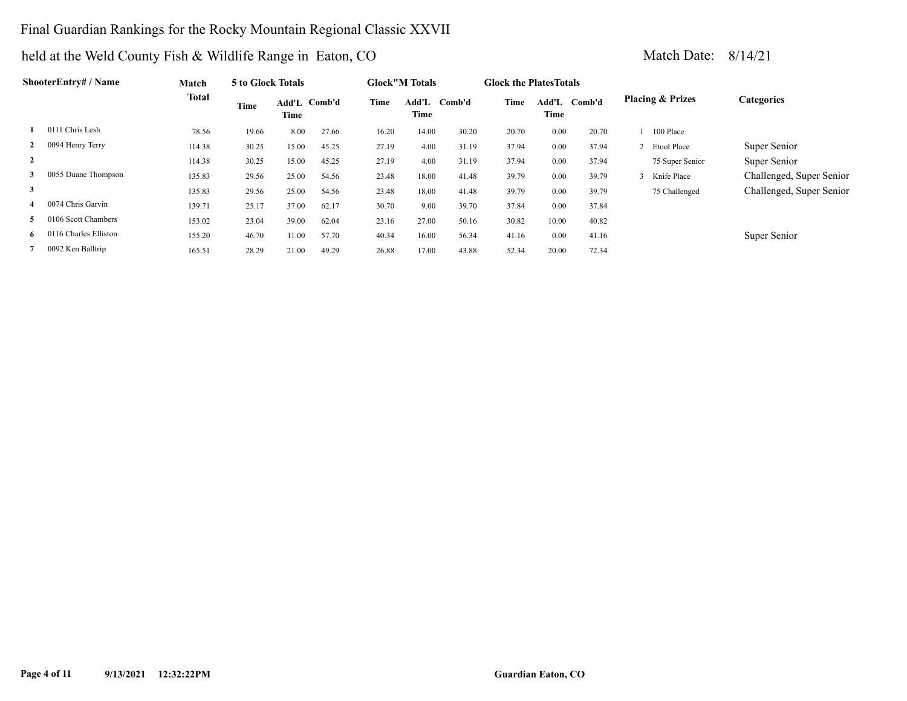## Final Guardian Rankings for the Rocky Mountain Regional Classic XXVII

|    | ShooterEntry# / Name    | Match  | 5 to Glock Totals |                      |       |       | <b>Glock</b> "M Totals |        | <b>Glock the Plates Totals</b> |               |        |                             |                          |
|----|-------------------------|--------|-------------------|----------------------|-------|-------|------------------------|--------|--------------------------------|---------------|--------|-----------------------------|--------------------------|
|    |                         | Total  | Time              | Add'L Comb'd<br>Time |       | Time  | Add'L<br>Time          | Comb'd | Time                           | Add'L<br>Time | Comb'd | <b>Placing &amp; Prizes</b> | <b>Categories</b>        |
|    | 0111 Chris Lesh         | 78.56  | 19.66             | 8.00                 | 27.66 | 16.20 | 14.00                  | 30.20  | 20.70                          | 0.00          | 20.70  | 100 Place                   |                          |
|    | 0094 Henry Terry        | 114.38 | 30.25             | 15.00                | 45.25 | 27.19 | 4.00                   | 31.19  | 37.94                          | 0.00          | 37.94  | 2 Etool Place               | Super Senior             |
|    |                         | 114.38 | 30.25             | 15.00                | 45.25 | 27.19 | 4.00                   | 31.19  | 37.94                          | 0.00          | 37.94  | 75 Super Senior             | Super Senior             |
| 3  | 0055 Duane Thompson     | 135.83 | 29.56             | 25.00                | 54.56 | 23.48 | 18.00                  | 41.48  | 39.79                          | 0.00          | 39.79  | 3 Knife Place               | Challenged, Super Senior |
| 3  |                         | 135.83 | 29.56             | 25.00                | 54.56 | 23.48 | 18.00                  | 41.48  | 39.79                          | 0.00          | 39.79  | 75 Challenged               | Challenged, Super Senior |
|    | 0074 Chris Garvin       | 139.71 | 25.17             | 37.00                | 62.17 | 30.70 | 9.00                   | 39.70  | 37.84                          | 0.00          | 37.84  |                             |                          |
| 5. | 106 Scott Chambers      | 153.02 | 23.04             | 39.00                | 62.04 | 23.16 | 27.00                  | 50.16  | 30.82                          | 10.00         | 40.82  |                             |                          |
|    | 6 0116 Charles Elliston | 155.20 | 46.70             | 11.00                | 57.70 | 40.34 | 16.00                  | 56.34  | 41.16                          | 0.00          | 41.16  |                             | Super Senior             |
|    | 0092 Ken Balltrip       | 165.51 | 28.29             | 21.00                | 49.29 | 26.88 | 17.00                  | 43.88  | 52.34                          | 20.00         | 72.34  |                             |                          |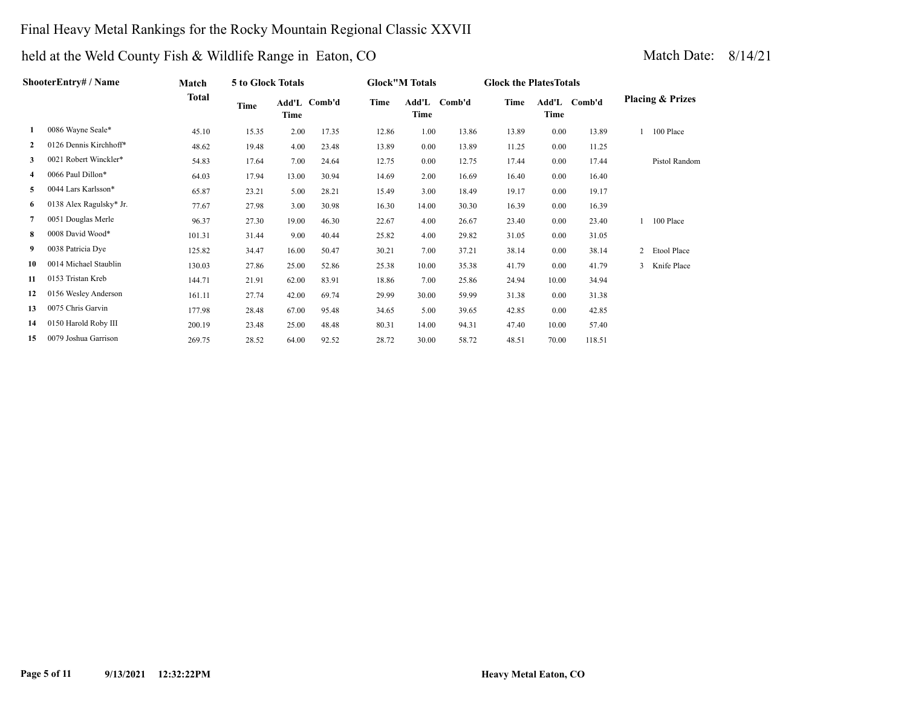## Final Heavy Metal Rankings for the Rocky Mountain Regional Classic XXVII

|              | ShooterEntry# / Name    | Match        | 5 to Glock Totals |       |              |       | <b>Glock"M Totals</b> |              | <b>Glock the Plates Totals</b> |       |              |   |                             |
|--------------|-------------------------|--------------|-------------------|-------|--------------|-------|-----------------------|--------------|--------------------------------|-------|--------------|---|-----------------------------|
|              |                         | <b>Total</b> | Time              | Time  | Add'L Comb'd | Time  | Time                  | Add'L Comb'd | Time                           | Time  | Add'L Comb'd |   | <b>Placing &amp; Prizes</b> |
| 1            | 0086 Wayne Seale*       | 45.10        | 15.35             | 2.00  | 17.35        | 12.86 | 1.00                  | 13.86        | 13.89                          | 0.00  | 13.89        |   | 100 Place                   |
| $\mathbf{2}$ | 0126 Dennis Kirchhoff*  | 48.62        | 19.48             | 4.00  | 23.48        | 13.89 | 0.00                  | 13.89        | 11.25                          | 0.00  | 11.25        |   |                             |
| 3            | 0021 Robert Winckler*   | 54.83        | 17.64             | 7.00  | 24.64        | 12.75 | 0.00                  | 12.75        | 17.44                          | 0.00  | 17.44        |   | Pistol Random               |
| 4            | 0066 Paul Dillon*       | 64.03        | 17.94             | 13.00 | 30.94        | 14.69 | 2.00                  | 16.69        | 16.40                          | 0.00  | 16.40        |   |                             |
| 5            | 0044 Lars Karlsson*     | 65.87        | 23.21             | 5.00  | 28.21        | 15.49 | 3.00                  | 18.49        | 19.17                          | 0.00  | 19.17        |   |                             |
| 6            | 0138 Alex Ragulsky* Jr. | 77.67        | 27.98             | 3.00  | 30.98        | 16.30 | 14.00                 | 30.30        | 16.39                          | 0.00  | 16.39        |   |                             |
| 7            | 0051 Douglas Merle      | 96.37        | 27.30             | 19.00 | 46.30        | 22.67 | 4.00                  | 26.67        | 23.40                          | 0.00  | 23.40        |   | 100 Place                   |
| 8            | 0008 David Wood*        | 101.31       | 31.44             | 9.00  | 40.44        | 25.82 | 4.00                  | 29.82        | 31.05                          | 0.00  | 31.05        |   |                             |
| 9            | 0038 Patricia Dye       | 125.82       | 34.47             | 16.00 | 50.47        | 30.21 | 7.00                  | 37.21        | 38.14                          | 0.00  | 38.14        | 2 | Etool Place                 |
| 10           | 0014 Michael Staublin   | 130.03       | 27.86             | 25.00 | 52.86        | 25.38 | 10.00                 | 35.38        | 41.79                          | 0.00  | 41.79        | 3 | Knife Place                 |
| 11           | 0153 Tristan Kreb       | 144.71       | 21.91             | 62.00 | 83.91        | 18.86 | 7.00                  | 25.86        | 24.94                          | 10.00 | 34.94        |   |                             |
| 12           | 0156 Wesley Anderson    | 161.11       | 27.74             | 42.00 | 69.74        | 29.99 | 30.00                 | 59.99        | 31.38                          | 0.00  | 31.38        |   |                             |
| 13           | 0075 Chris Garvin       | 177.98       | 28.48             | 67.00 | 95.48        | 34.65 | 5.00                  | 39.65        | 42.85                          | 0.00  | 42.85        |   |                             |
| 14           | 0150 Harold Roby III    | 200.19       | 23.48             | 25.00 | 48.48        | 80.31 | 14.00                 | 94.31        | 47.40                          | 10.00 | 57.40        |   |                             |
| 15           | 0079 Joshua Garrison    | 269.75       | 28.52             | 64.00 | 92.52        | 28.72 | 30.00                 | 58.72        | 48.51                          | 70.00 | 118.51       |   |                             |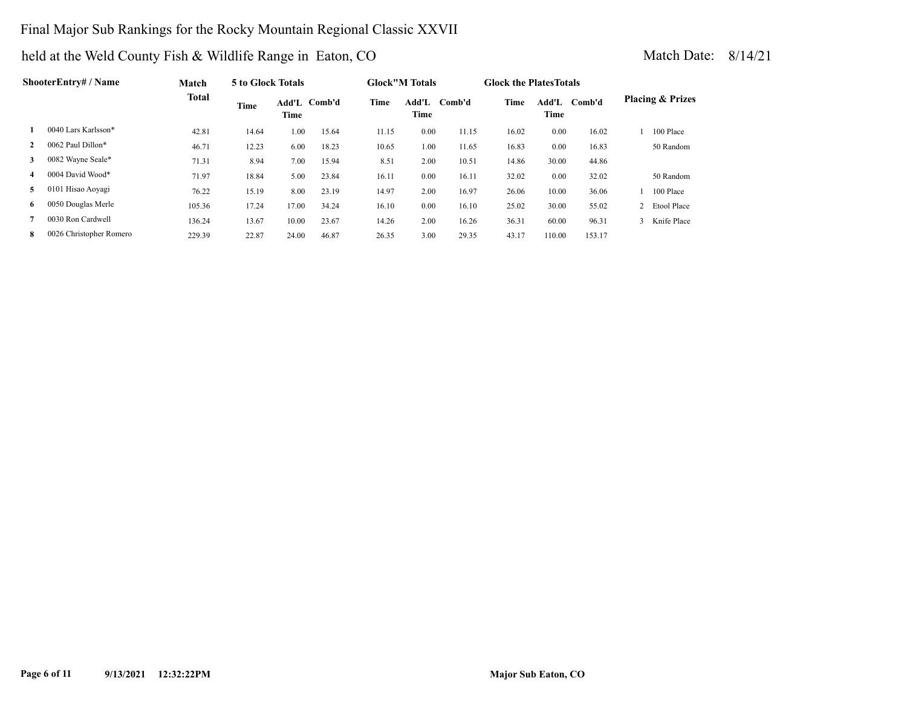## Final Major Sub Rankings for the Rocky Mountain Regional Classic XXVII

|    | <b>ShooterEntry#/Name</b> | Match        | 5 to Glock Totals |       |              |       | <b>Glock</b> "M Totals |        | <b>Glock the Plates Totals</b> |               |        |                |                             |
|----|---------------------------|--------------|-------------------|-------|--------------|-------|------------------------|--------|--------------------------------|---------------|--------|----------------|-----------------------------|
|    |                           | <b>Total</b> | Time              | Time  | Add'L Comb'd | Time  | Add'L<br>Time          | Comb'd | Time                           | Add'L<br>Time | Comb'd |                | <b>Placing &amp; Prizes</b> |
|    | 0040 Lars Karlsson*       | 42.81        | 14.64             | 1.00  | 15.64        | 11.15 | 0.00                   | 11.15  | 16.02                          | 0.00          | 16.02  |                | 100 Place                   |
|    | 0062 Paul Dillon*         | 46.71        | 12.23             | 6.00  | 18.23        | 10.65 | 1.00                   | 11.65  | 16.83                          | 0.00          | 16.83  |                | 50 Random                   |
| 3  | 0082 Wayne Seale*         | 71.31        | 8.94              | 7.00  | 15.94        | 8.51  | 2.00                   | 10.51  | 14.86                          | 30.00         | 44.86  |                |                             |
| 4  | 0004 David Wood*          | 71.97        | 18.84             | 5.00  | 23.84        | 16.11 | 0.00                   | 16.11  | 32.02                          | 0.00          | 32.02  |                | 50 Random                   |
| 5. | 0101 Hisao Aoyagi         | 76.22        | 15.19             | 8.00  | 23.19        | 14.97 | 2.00                   | 16.97  | 26.06                          | 10.00         | 36.06  |                | 100 Place                   |
| 6  | 0050 Douglas Merle        | 105.36       | 17.24             | 17.00 | 34.24        | 16.10 | 0.00                   | 16.10  | 25.02                          | 30.00         | 55.02  | $\overline{2}$ | Etool Place                 |
|    | 0030 Ron Cardwell         | 136.24       | 13.67             | 10.00 | 23.67        | 14.26 | 2.00                   | 16.26  | 36.31                          | 60.00         | 96.31  |                | Knife Place                 |
| 8  | 0026 Christopher Romero   | 229.39       | 22.87             | 24.00 | 46.87        | 26.35 | 3.00                   | 29.35  | 43.17                          | 110.00        | 153.17 |                |                             |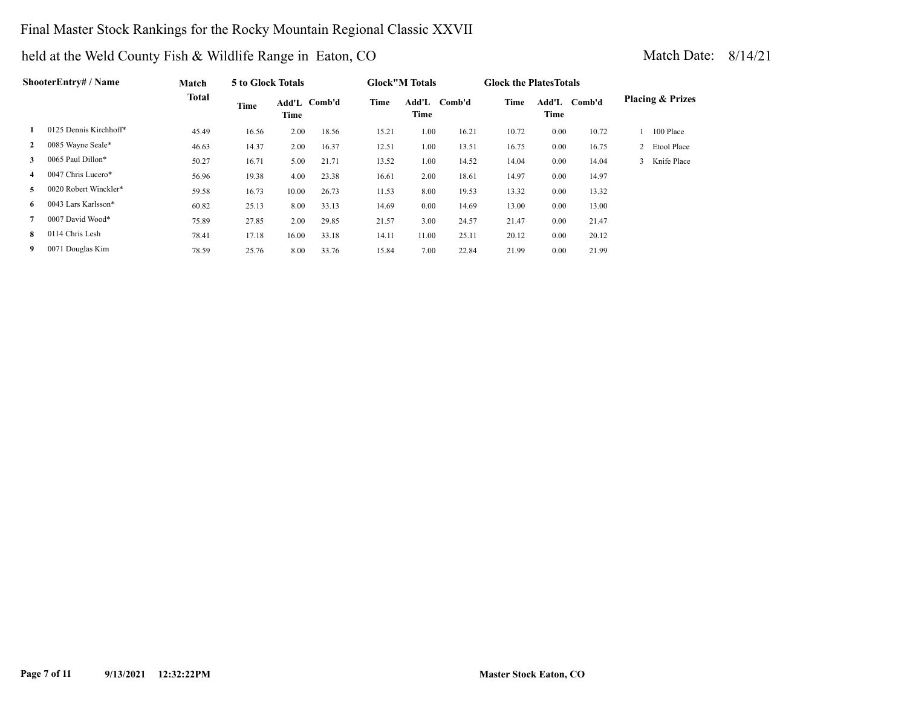## Final Master Stock Rankings for the Rocky Mountain Regional Classic XXVII

|              | ShooterEntry# / Name   | Match        | 5 to Glock Totals |       |              |       | <b>Glock</b> "M Totals |        | <b>Glock the Plates Totals</b> |               |        |                             |
|--------------|------------------------|--------------|-------------------|-------|--------------|-------|------------------------|--------|--------------------------------|---------------|--------|-----------------------------|
|              |                        | <b>Total</b> | Time              | Time  | Add'L Comb'd | Time  | Add'L<br>Time          | Comb'd | Time                           | Add'L<br>Time | Comb'd | <b>Placing &amp; Prizes</b> |
|              | 0125 Dennis Kirchhoff* | 45.49        | 16.56             | 2.00  | 18.56        | 15.21 | 1.00                   | 16.21  | 10.72                          | 0.00          | 10.72  | 100 Place                   |
| $\mathbf{2}$ | 0085 Wayne Seale*      | 46.63        | 14.37             | 2.00  | 16.37        | 12.51 | 1.00                   | 13.51  | 16.75                          | 0.00          | 16.75  | 2 Etool Place               |
| 3            | 0065 Paul Dillon*      | 50.27        | 16.71             | 5.00  | 21.71        | 13.52 | 1.00                   | 14.52  | 14.04                          | 0.00          | 14.04  | 3 Knife Place               |
| 4            | 0047 Chris Lucero*     | 56.96        | 19.38             | 4.00  | 23.38        | 16.61 | 2.00                   | 18.61  | 14.97                          | 0.00          | 14.97  |                             |
| 5            | 0020 Robert Winckler*  | 59.58        | 16.73             | 10.00 | 26.73        | 11.53 | 8.00                   | 19.53  | 13.32                          | 0.00          | 13.32  |                             |
| 6.           | 0043 Lars Karlsson*    | 60.82        | 25.13             | 8.00  | 33.13        | 14.69 | 0.00                   | 14.69  | 13.00                          | 0.00          | 13.00  |                             |
|              | 0007 David Wood*       | 75.89        | 27.85             | 2.00  | 29.85        | 21.57 | 3.00                   | 24.57  | 21.47                          | 0.00          | 21.47  |                             |
| 8            | 0114 Chris Lesh        | 78.41        | 17.18             | 16.00 | 33.18        | 14.11 | 11.00                  | 25.11  | 20.12                          | 0.00          | 20.12  |                             |
| 9            | 0071 Douglas Kim       | 78.59        | 25.76             | 8.00  | 33.76        | 15.84 | 7.00                   | 22.84  | 21.99                          | 0.00          | 21.99  |                             |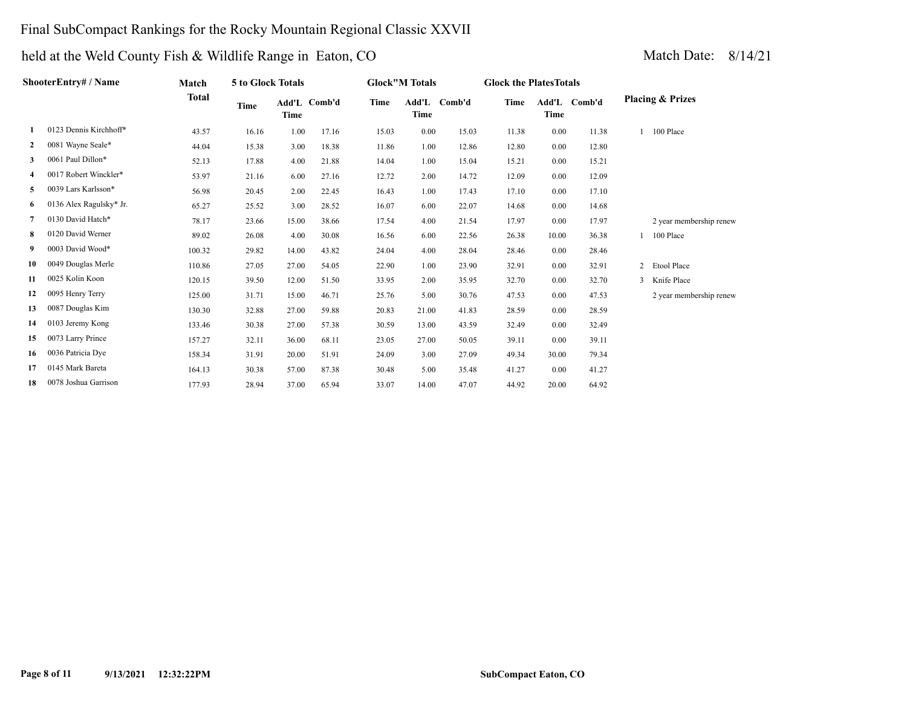## Final SubCompact Rankings for the Rocky Mountain Regional Classic XXVII

|    | ShooterEntry# / Name    | Match        | 5 to Glock Totals |             |              |       | <b>Glock"M Totals</b> |              | <b>Glock the Plates Totals</b> |       |              |                             |
|----|-------------------------|--------------|-------------------|-------------|--------------|-------|-----------------------|--------------|--------------------------------|-------|--------------|-----------------------------|
|    |                         | <b>Total</b> | Time              | <b>Time</b> | Add'L Comb'd | Time  | Time                  | Add'L Comb'd | Time                           | Time  | Add'L Comb'd | <b>Placing &amp; Prizes</b> |
| 1  | 0123 Dennis Kirchhoff*  | 43.57        | 16.16             | 1.00        | 17.16        | 15.03 | 0.00                  | 15.03        | 11.38                          | 0.00  | 11.38        | 100 Place                   |
| 2  | 0081 Wayne Seale*       | 44.04        | 15.38             | 3.00        | 18.38        | 11.86 | 1.00                  | 12.86        | 12.80                          | 0.00  | 12.80        |                             |
| 3  | 0061 Paul Dillon*       | 52.13        | 17.88             | 4.00        | 21.88        | 14.04 | 1.00                  | 15.04        | 15.21                          | 0.00  | 15.21        |                             |
| 4  | 0017 Robert Winckler*   | 53.97        | 21.16             | 6.00        | 27.16        | 12.72 | 2.00                  | 14.72        | 12.09                          | 0.00  | 12.09        |                             |
| 5  | 0039 Lars Karlsson*     | 56.98        | 20.45             | 2.00        | 22.45        | 16.43 | 1.00                  | 17.43        | 17.10                          | 0.00  | 17.10        |                             |
| 6  | 0136 Alex Ragulsky* Jr. | 65.27        | 25.52             | 3.00        | 28.52        | 16.07 | 6.00                  | 22.07        | 14.68                          | 0.00  | 14.68        |                             |
| 7  | 0130 David Hatch*       | 78.17        | 23.66             | 15.00       | 38.66        | 17.54 | 4.00                  | 21.54        | 17.97                          | 0.00  | 17.97        | 2 year membership renew     |
| 8  | 0120 David Werner       | 89.02        | 26.08             | 4.00        | 30.08        | 16.56 | 6.00                  | 22.56        | 26.38                          | 10.00 | 36.38        | 100 Place                   |
| 9  | 0003 David Wood*        | 100.32       | 29.82             | 14.00       | 43.82        | 24.04 | 4.00                  | 28.04        | 28.46                          | 0.00  | 28.46        |                             |
| 10 | 0049 Douglas Merle      | 110.86       | 27.05             | 27.00       | 54.05        | 22.90 | 1.00                  | 23.90        | 32.91                          | 0.00  | 32.91        | 2 Etool Place               |
| 11 | 0025 Kolin Koon         | 120.15       | 39.50             | 12.00       | 51.50        | 33.95 | 2.00                  | 35.95        | 32.70                          | 0.00  | 32.70        | 3 Knife Place               |
| 12 | 0095 Henry Terry        | 125.00       | 31.71             | 15.00       | 46.71        | 25.76 | 5.00                  | 30.76        | 47.53                          | 0.00  | 47.53        | 2 year membership renew     |
| 13 | 0087 Douglas Kim        | 130.30       | 32.88             | 27.00       | 59.88        | 20.83 | 21.00                 | 41.83        | 28.59                          | 0.00  | 28.59        |                             |
| 14 | 0103 Jeremy Kong        | 133.46       | 30.38             | 27.00       | 57.38        | 30.59 | 13.00                 | 43.59        | 32.49                          | 0.00  | 32.49        |                             |
| 15 | 0073 Larry Prince       | 157.27       | 32.11             | 36.00       | 68.11        | 23.05 | 27.00                 | 50.05        | 39.11                          | 0.00  | 39.11        |                             |
| 16 | 0036 Patricia Dye       | 158.34       | 31.91             | 20.00       | 51.91        | 24.09 | 3.00                  | 27.09        | 49.34                          | 30.00 | 79.34        |                             |
| 17 | 0145 Mark Bareta        | 164.13       | 30.38             | 57.00       | 87.38        | 30.48 | 5.00                  | 35.48        | 41.27                          | 0.00  | 41.27        |                             |
| 18 | 0078 Joshua Garrison    | 177.93       | 28.94             | 37.00       | 65.94        | 33.07 | 14.00                 | 47.07        | 44.92                          | 20.00 | 64.92        |                             |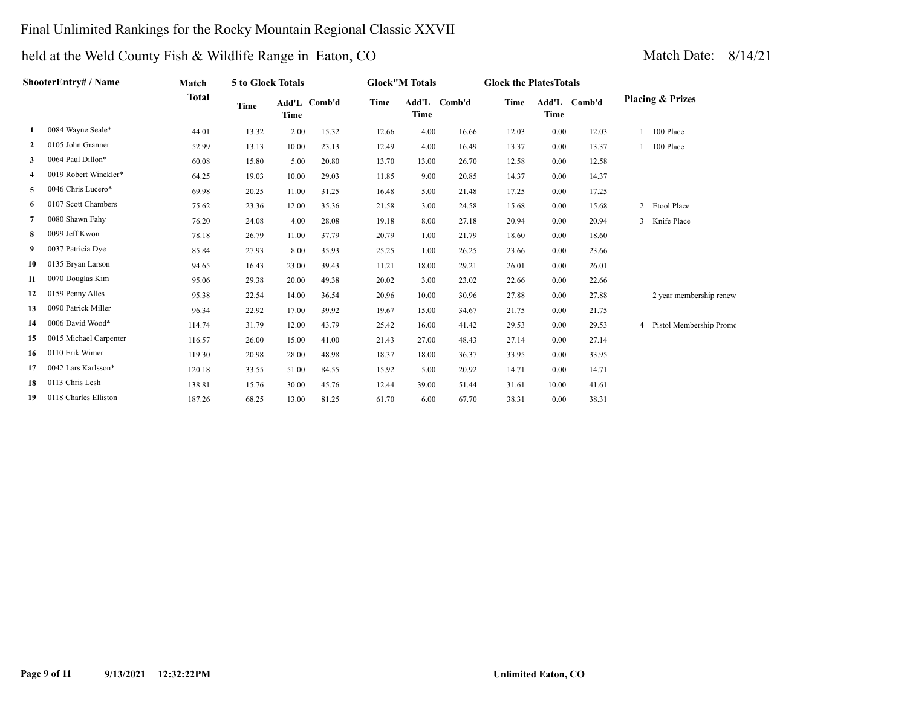## Final Unlimited Rankings for the Rocky Mountain Regional Classic XXVII

# held at the Weld County Fish & Wildlife Range in Eaton, CO Match Date: 8/14/21

| ShooterEntry# / Name |                        | Match        | 5 to Glock Totals |             |              | <b>Glock"M Totals</b> |                      |       | <b>Glock the PlatesTotals</b> |       |              |                             |
|----------------------|------------------------|--------------|-------------------|-------------|--------------|-----------------------|----------------------|-------|-------------------------------|-------|--------------|-----------------------------|
|                      |                        | <b>Total</b> | Time              | <b>Time</b> | Add'L Comb'd | <b>Time</b>           | Add'L Comb'd<br>Time |       | Time                          | Time  | Add'L Comb'd | <b>Placing &amp; Prizes</b> |
| -1                   | 0084 Wayne Seale*      | 44.01        | 13.32             | 2.00        | 15.32        | 12.66                 | 4.00                 | 16.66 | 12.03                         | 0.00  | 12.03        | 100 Place                   |
| $\mathbf{2}$         | 0105 John Granner      | 52.99        | 13.13             | 10.00       | 23.13        | 12.49                 | 4.00                 | 16.49 | 13.37                         | 0.00  | 13.37        | 100 Place                   |
| 3                    | 0064 Paul Dillon*      | 60.08        | 15.80             | 5.00        | 20.80        | 13.70                 | 13.00                | 26.70 | 12.58                         | 0.00  | 12.58        |                             |
|                      | 0019 Robert Winckler*  | 64.25        | 19.03             | 10.00       | 29.03        | 11.85                 | 9.00                 | 20.85 | 14.37                         | 0.00  | 14.37        |                             |
| 5                    | 0046 Chris Lucero*     | 69.98        | 20.25             | 11.00       | 31.25        | 16.48                 | 5.00                 | 21.48 | 17.25                         | 0.00  | 17.25        |                             |
| 6                    | 0107 Scott Chambers    | 75.62        | 23.36             | 12.00       | 35.36        | 21.58                 | 3.00                 | 24.58 | 15.68                         | 0.00  | 15.68        | 2 Etool Place               |
|                      | 0080 Shawn Fahy        | 76.20        | 24.08             | 4.00        | 28.08        | 19.18                 | 8.00                 | 27.18 | 20.94                         | 0.00  | 20.94        | 3 Knife Place               |
| 8                    | 0099 Jeff Kwon         | 78.18        | 26.79             | 11.00       | 37.79        | 20.79                 | 1.00                 | 21.79 | 18.60                         | 0.00  | 18.60        |                             |
| 9                    | 0037 Patricia Dye      | 85.84        | 27.93             | 8.00        | 35.93        | 25.25                 | 1.00                 | 26.25 | 23.66                         | 0.00  | 23.66        |                             |
| 10                   | 0135 Bryan Larson      | 94.65        | 16.43             | 23.00       | 39.43        | 11.21                 | 18.00                | 29.21 | 26.01                         | 0.00  | 26.01        |                             |
| 11                   | 0070 Douglas Kim       | 95.06        | 29.38             | 20.00       | 49.38        | 20.02                 | 3.00                 | 23.02 | 22.66                         | 0.00  | 22.66        |                             |
| 12                   | 0159 Penny Alles       | 95.38        | 22.54             | 14.00       | 36.54        | 20.96                 | 10.00                | 30.96 | 27.88                         | 0.00  | 27.88        | 2 year membership renew     |
| 13                   | 0090 Patrick Miller    | 96.34        | 22.92             | 17.00       | 39.92        | 19.67                 | 15.00                | 34.67 | 21.75                         | 0.00  | 21.75        |                             |
| 14                   | 0006 David Wood*       | 114.74       | 31.79             | 12.00       | 43.79        | 25.42                 | 16.00                | 41.42 | 29.53                         | 0.00  | 29.53        | 4 Pistol Membership Promo   |
| 15                   | 0015 Michael Carpenter | 116.57       | 26.00             | 15.00       | 41.00        | 21.43                 | 27.00                | 48.43 | 27.14                         | 0.00  | 27.14        |                             |
| 16                   | 0110 Erik Wimer        | 119.30       | 20.98             | 28.00       | 48.98        | 18.37                 | 18.00                | 36.37 | 33.95                         | 0.00  | 33.95        |                             |
| 17                   | 0042 Lars Karlsson*    | 120.18       | 33.55             | 51.00       | 84.55        | 15.92                 | 5.00                 | 20.92 | 14.71                         | 0.00  | 14.71        |                             |
| 18                   | 0113 Chris Lesh        | 138.81       | 15.76             | 30.00       | 45.76        | 12.44                 | 39.00                | 51.44 | 31.61                         | 10.00 | 41.61        |                             |

 **19** 0118 Charles Elliston 187.26 68.25 13.00 81.25 61.70 6.00 67.70 38.31 0.00 38.31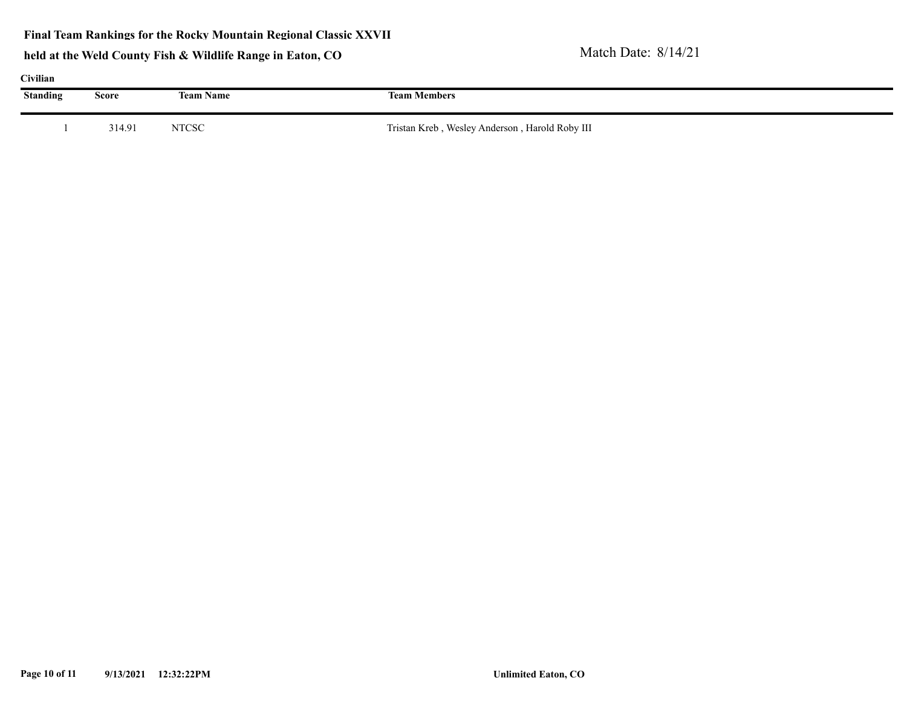**Final Team Rankings for the Rocky Mountain Regional Classic XXVII**

| Civilian        |        |                  |                                                |  |  |  |  |  |  |  |  |
|-----------------|--------|------------------|------------------------------------------------|--|--|--|--|--|--|--|--|
| <b>Standing</b> | Score  | <b>Team Name</b> | <b>Team Members</b>                            |  |  |  |  |  |  |  |  |
|                 | 314.91 | <b>NTCSC</b>     | Tristan Kreb, Wesley Anderson, Harold Roby III |  |  |  |  |  |  |  |  |
|                 |        |                  |                                                |  |  |  |  |  |  |  |  |